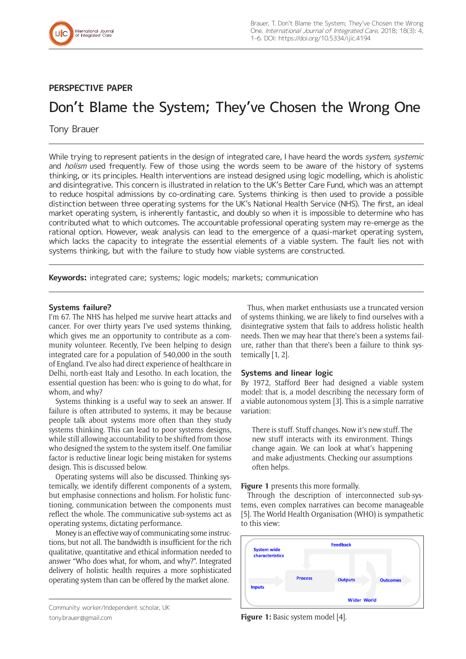

# **PERSPECTIVE PAPER**

# Don't Blame the System; They've Chosen the Wrong One

# Tony Brauer

While trying to represent patients in the design of integrated care, I have heard the words system, systemic and *holism* used frequently. Few of those using the words seem to be aware of the history of systems thinking, or its principles. Health interventions are instead designed using logic modelling, which is aholistic and disintegrative. This concern is illustrated in relation to the UK's Better Care Fund, which was an attempt to reduce hospital admissions by co-ordinating care. Systems thinking is then used to provide a possible distinction between three operating systems for the UK's National Health Service (NHS). The first, an ideal market operating system, is inherently fantastic, and doubly so when it is impossible to determine who has contributed what to which outcomes. The accountable professional operating system may re-emerge as the rational option. However, weak analysis can lead to the emergence of a quasi-market operating system, which lacks the capacity to integrate the essential elements of a viable system. The fault lies not with systems thinking, but with the failure to study how viable systems are constructed.

**Keywords:** integrated care; systems; logic models; markets; communication

# **Systems failure?**

I'm 67. The NHS has helped me survive heart attacks and cancer. For over thirty years I've used systems thinking, which gives me an opportunity to contribute as a community volunteer. Recently, I've been helping to design integrated care for a population of 540,000 in the south of England. I've also had direct experience of healthcare in Delhi, north-east Italy and Lesotho. In each location, the essential question has been: who is going to do what, for whom, and why?

Systems thinking is a useful way to seek an answer. If failure is often attributed to systems, it may be because people talk about systems more often than they study systems thinking. This can lead to poor systems designs, while still allowing accountability to be shifted from those who designed the system to the system itself. One familiar factor is reductive linear logic being mistaken for systems design. This is discussed below.

Operating systems will also be discussed. Thinking systemically, we identify different components of a system, but emphasise connections and holism. For holistic functioning, communication between the components must reflect the whole. The communicative sub-systems act as operating systems, dictating performance.

Money is an effective way of communicating some instructions, but not all. The bandwidth is insufficient for the rich qualitative, quantitative and ethical information needed to answer "Who does what, for whom, and why?". Integrated delivery of holistic health requires a more sophisticated operating system than can be offered by the market alone.

Thus, when market enthusiasts use a truncated version of systems thinking, we are likely to find ourselves with a disintegrative system that fails to address holistic health needs. Then we may hear that there's been a systems failure, rather than that there's been a failure to think systemically [1, 2].

# **Systems and linear logic**

By 1972, Stafford Beer had designed a viable system model: that is, a model describing the necessary form of a viable autonomous system [3]. This is a simple narrative variation:

There is stuff. Stuff changes. Now it's new stuff. The new stuff interacts with its environment. Things change again. We can look at what's happening and make adjustments. Checking our assumptions often helps.

**Figure 1** presents this more formally.

Through the description of interconnected sub-systems, even complex narratives can become manageable [5]. The World Health Organisation (WHO) is sympathetic to this view:



Community worker/Independent scholar, UK [tony.brauer@gmail.com](mailto:tony.brauer@gmail.com)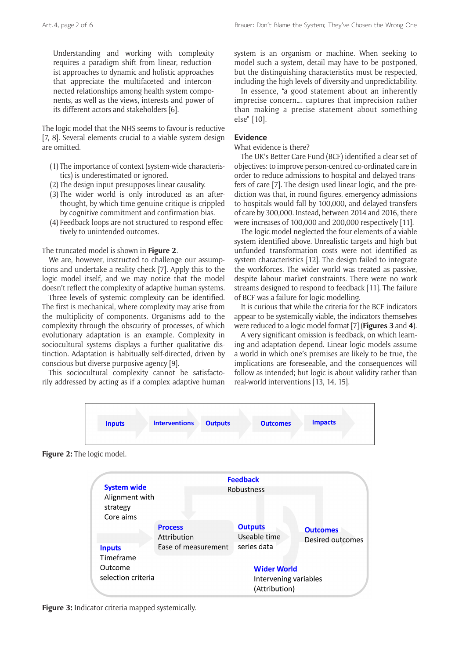Understanding and working with complexity requires a paradigm shift from linear, reductionist approaches to dynamic and holistic approaches that appreciate the multifaceted and interconnected relationships among health system components, as well as the views, interests and power of its different actors and stakeholders [6].

The logic model that the NHS seems to favour is reductive [7, 8]. Several elements crucial to a viable system design are omitted.

- (1) The importance of context (system-wide characteristics) is underestimated or ignored.
- (2) The design input presupposes linear causality.
- (3) The wider world is only introduced as an afterthought, by which time genuine critique is crippled by cognitive commitment and confirmation bias.
- (4) Feedback loops are not structured to respond effectively to unintended outcomes.

#### The truncated model is shown in **Figure 2**.

We are, however, instructed to challenge our assumptions and undertake a reality check [7]. Apply this to the logic model itself, and we may notice that the model doesn't reflect the complexity of adaptive human systems.

Three levels of systemic complexity can be identified. The first is mechanical, where complexity may arise from the multiplicity of components. Organisms add to the complexity through the obscurity of processes, of which evolutionary adaptation is an example. Complexity in sociocultural systems displays a further qualitative distinction. Adaptation is habitually self-directed, driven by conscious but diverse purposive agency [9].

This sociocultural complexity cannot be satisfactorily addressed by acting as if a complex adaptive human system is an organism or machine. When seeking to model such a system, detail may have to be postponed, but the distinguishing characteristics must be respected, including the high levels of diversity and unpredictability.

In essence, "a good statement about an inherently imprecise concern…. captures that imprecision rather than making a precise statement about something else" [10].

# **Evidence**

#### What evidence is there?

The UK's Better Care Fund (BCF) identified a clear set of objectives: to improve person-centred co-ordinated care in order to reduce admissions to hospital and delayed transfers of care [7]. The design used linear logic, and the prediction was that, in round figures, emergency admissions to hospitals would fall by 100,000, and delayed transfers of care by 300,000. Instead, between 2014 and 2016, there were increases of 100,000 and 200,000 respectively [11].

The logic model neglected the four elements of a viable system identified above. Unrealistic targets and high but unfunded transformation costs were not identified as system characteristics [12]. The design failed to integrate the workforces. The wider world was treated as passive, despite labour market constraints. There were no work streams designed to respond to feedback [11]. The failure of BCF was a failure for logic modelling.

It is curious that while the criteria for the BCF indicators appear to be systemically viable, the indicators themselves were reduced to a logic model format [7] (**Figures 3** and **4**).

A very significant omission is feedback, on which learning and adaptation depend. Linear logic models assume a world in which one's premises are likely to be true, the implications are foreseeable, and the consequences will follow as intended; but logic is about validity rather than real-world interventions [13, 14, 15].



**Figure 2:** The logic model.



**Figure 3:** Indicator criteria mapped systemically.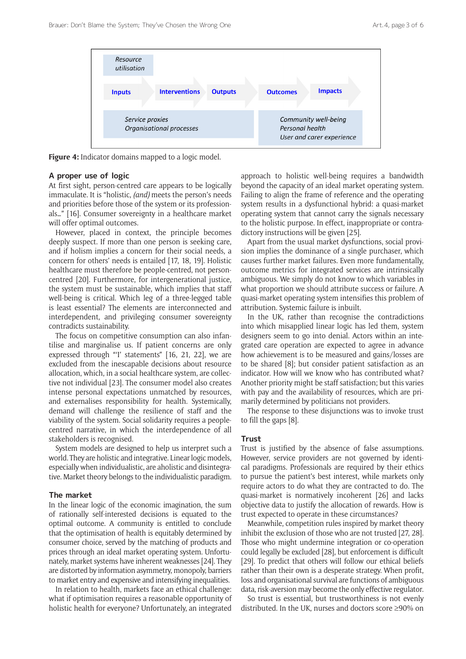

**Figure 4:** Indicator domains mapped to a logic model.

# **A proper use of logic**

At first sight, person-centred care appears to be logically immaculate. It is "holistic, *(and)* meets the person's needs and priorities before those of the system or its professionals…" [16]. Consumer sovereignty in a healthcare market will offer optimal outcomes.

However, placed in context, the principle becomes deeply suspect. If more than one person is seeking care, and if holism implies a concern for their social needs, a concern for others' needs is entailed [17, 18, 19]. Holistic healthcare must therefore be people-centred, not personcentred [20]. Furthermore, for intergenerational justice, the system must be sustainable, which implies that staff well-being is critical. Which leg of a three-legged table is least essential? The elements are interconnected and interdependent, and privileging consumer sovereignty contradicts sustainability.

The focus on competitive consumption can also infantilise and marginalise us. If patient concerns are only expressed through "'I' statements" [16, 21, 22], we are excluded from the inescapable decisions about resource allocation, which, in a social healthcare system, are collective not individual [23]. The consumer model also creates intense personal expectations unmatched by resources, and externalises responsibility for health. Systemically, demand will challenge the resilience of staff and the viability of the system. Social solidarity requires a peoplecentred narrative, in which the interdependence of all stakeholders is recognised.

System models are designed to help us interpret such a world. They are holistic and integrative. Linear logic models, especially when individualistic, are aholistic and disintegrative. Market theory belongs to the individualistic paradigm.

# **The market**

In the linear logic of the economic imagination, the sum of rationally self-interested decisions is equated to the optimal outcome. A community is entitled to conclude that the optimisation of health is equitably determined by consumer choice, served by the matching of products and prices through an ideal market operating system. Unfortunately, market systems have inherent weaknesses [24]. They are distorted by information asymmetry, monopoly, barriers to market entry and expensive and intensifying inequalities.

In relation to health, markets face an ethical challenge: what if optimisation requires a reasonable opportunity of holistic health for everyone? Unfortunately, an integrated

approach to holistic well-being requires a bandwidth beyond the capacity of an ideal market operating system. Failing to align the frame of reference and the operating system results in a dysfunctional hybrid: a quasi-market operating system that cannot carry the signals necessary to the holistic purpose. In effect, inappropriate or contradictory instructions will be given [25].

Apart from the usual market dysfunctions, social provision implies the dominance of a single purchaser, which causes further market failures. Even more fundamentally, outcome metrics for integrated services are intrinsically ambiguous. We simply do not know to which variables in what proportion we should attribute success or failure. A quasi-market operating system intensifies this problem of attribution. Systemic failure is inbuilt.

In the UK, rather than recognise the contradictions into which misapplied linear logic has led them, system designers seem to go into denial. Actors within an integrated care operation are expected to agree in advance how achievement is to be measured and gains/losses are to be shared [8]; but consider patient satisfaction as an indicator. How will we know who has contributed what? Another priority might be staff satisfaction; but this varies with pay and the availability of resources, which are primarily determined by politicians not providers.

The response to these disjunctions was to invoke trust to fill the gaps [8].

#### **Trust**

Trust is justified by the absence of false assumptions. However, service providers are not governed by identical paradigms. Professionals are required by their ethics to pursue the patient's best interest, while markets only require actors to do what they are contracted to do. The quasi-market is normatively incoherent [26] and lacks objective data to justify the allocation of rewards. How is trust expected to operate in these circumstances?

Meanwhile, competition rules inspired by market theory inhibit the exclusion of those who are not trusted [27, 28]. Those who might undermine integration or co-operation could legally be excluded [28], but enforcement is difficult [29]. To predict that others will follow our ethical beliefs rather than their own is a desperate strategy. When profit, loss and organisational survival are functions of ambiguous data, risk-aversion may become the only effective regulator.

So trust is essential, but trustworthiness is not evenly distributed. In the UK, nurses and doctors score ≥90% on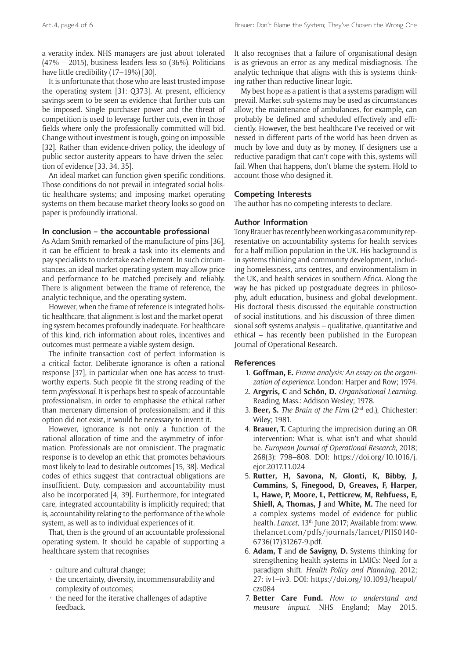a veracity index. NHS managers are just about tolerated (47% – 2015), business leaders less so (36%). Politicians have little credibility (17-19%) [30].

It is unfortunate that those who are least trusted impose the operating system [31: Q373]. At present, efficiency savings seem to be seen as evidence that further cuts can be imposed. Single purchaser power and the threat of competition is used to leverage further cuts, even in those fields where only the professionally committed will bid. Change without investment is tough, going on impossible [32]. Rather than evidence-driven policy, the ideology of public sector austerity appears to have driven the selection of evidence [33, 34, 35].

An ideal market can function given specific conditions. Those conditions do not prevail in integrated social holistic healthcare systems; and imposing market operating systems on them because market theory looks so good on paper is profoundly irrational.

## **In conclusion – the accountable professional**

As Adam Smith remarked of the manufacture of pins [36], it can be efficient to break a task into its elements and pay specialists to undertake each element. In such circumstances, an ideal market operating system may allow price and performance to be matched precisely and reliably. There is alignment between the frame of reference, the analytic technique, and the operating system.

However, when the frame of reference is integrated holistic healthcare, that alignment is lost and the market operating system becomes profoundly inadequate. For healthcare of this kind, rich information about roles, incentives and outcomes must permeate a viable system design.

The infinite transaction cost of perfect information is a critical factor. Deliberate ignorance is often a rational response [37], in particular when one has access to trustworthy experts. Such people fit the strong reading of the term *professional*. It is perhaps best to speak of accountable professionalism, in order to emphasise the ethical rather than mercenary dimension of professionalism; and if this option did not exist, it would be necessary to invent it.

However, ignorance is not only a function of the rational allocation of time and the asymmetry of information. Professionals are not omniscient. The pragmatic response is to develop an ethic that promotes behaviours most likely to lead to desirable outcomes [15, 38]. Medical codes of ethics suggest that contractual obligations are insufficient. Duty, compassion and accountability must also be incorporated [4, 39]. Furthermore, for integrated care, integrated accountability is implicitly required; that is, accountability relating to the performance of the whole system, as well as to individual experiences of it.

That, then is the ground of an accountable professional operating system. It should be capable of supporting a healthcare system that recognises

- $\cdot$  culture and cultural change;
- $\cdot$  the uncertainty, diversity, incommensurability and complexity of outcomes;
- the need for the iterative challenges of adaptive feedback.

It also recognises that a failure of organisational design is as grievous an error as any medical misdiagnosis. The analytic technique that aligns with this is systems thinking rather than reductive linear logic.

My best hope as a patient is that a systems paradigm will prevail. Market sub-systems may be used as circumstances allow; the maintenance of ambulances, for example, can probably be defined and scheduled effectively and efficiently. However, the best healthcare I've received or witnessed in different parts of the world has been driven as much by love and duty as by money. If designers use a reductive paradigm that can't cope with this, systems will fail. When that happens, don't blame the system. Hold to account those who designed it.

## **Competing Interests**

The author has no competing interests to declare.

#### **Author Information**

Tony Brauer has recently been working as a community representative on accountability systems for health services for a half million population in the UK. His background is in systems thinking and community development, including homelessness, arts centres, and environmentalism in the UK, and health services in southern Africa. Along the way he has picked up postgraduate degrees in philosophy, adult education, business and global development. His doctoral thesis discussed the equitable construction of social institutions, and his discussion of three dimensional soft systems analysis – qualitative, quantitative and ethical – has recently been published in the European Journal of Operational Research.

#### **References**

- 1. **Goffman, E.** *Frame analysis: An essay on the organization of experience*. London: Harper and Row; 1974.
- 2. **Argyris, C** and **Schön, D.** *Organisational Learning*. Reading, Mass.: Addison Wesley; 1978.
- 3. **Beer, S.** *The Brain of the Firm* (2nd ed.), Chichester: Wiley; 1981.
- 4. **Brauer, T.** Capturing the imprecision during an OR intervention: What is, what isn't and what should be. *European Journal of Operational Research*, 2018; 268(3): 798–808. DOI: [https://doi.org/10.1016/j.](https://doi.org/10.1016/j.ejor.2017.11.024) [ejor.2017.11.024](https://doi.org/10.1016/j.ejor.2017.11.024)
- 5. **Rutter, H, Savona, N, Glonti, K, Bibby, J, Cummins, S, Finegood, D, Greaves, F, Harper, L, Hawe, P, Moore, L, Petticrew, M, Rehfuess, E, Shiell, A, Thomas, J** and **White, M.** The need for a complex systems model of evidence for public health. *Lancet*, 13<sup>th</sup> June 2017; Available from: [www.](www.thelancet.com/pdfs/journals/lancet/PIIS0140-6736(17)31267-9.pdf) [thelancet.com/pdfs/journals/lancet/PIIS0140-](www.thelancet.com/pdfs/journals/lancet/PIIS0140-6736(17)31267-9.pdf) [6736\(17\)31267-9.pdf.](www.thelancet.com/pdfs/journals/lancet/PIIS0140-6736(17)31267-9.pdf)
- 6. **Adam, T** and **de Savigny, D.** Systems thinking for strengthening health systems in LMICs: Need for a paradigm shift. *Health Policy and Planning*, 2012; 27: iv1–iv3. DOI: [https://doi.org/10.1093/heapol/](https://doi.org/10.1093/heapol/czs084) [czs084](https://doi.org/10.1093/heapol/czs084)
- 7. **Better Care Fund.** *How to understand and measure impact*. NHS England; May 2015.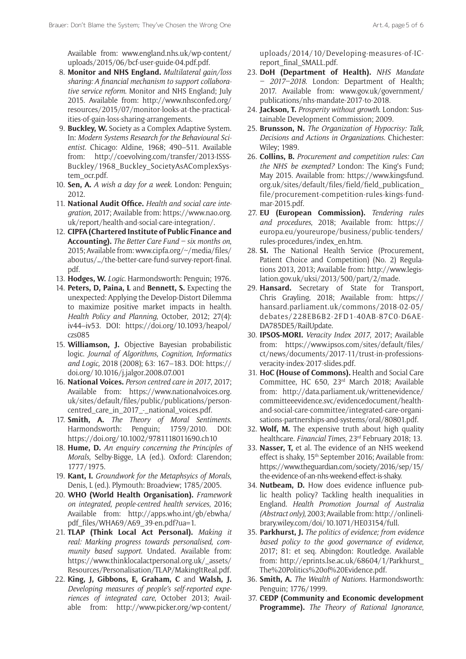Available from: [www.england.nhs.uk/wp-content/](www.england.nhs.uk/wp-content/uploads/2015/06/bcf-user-guide-04.pdf.pdf) [uploads/2015/06/bcf-user-guide-04.pdf.pdf](www.england.nhs.uk/wp-content/uploads/2015/06/bcf-user-guide-04.pdf.pdf).

- 8. **Monitor and NHS England.** *Multilateral gain/loss sharing: A financial mechanism to support collaborative service reform*. Monitor and NHS England; July 2015. Available from: [http://www.nhsconfed.org/](http://www.nhsconfed.org/resources/2015/07/monitor-looks-at-the-practicalities-of-gain-loss-sharing-arrangements) [resources/2015/07/monitor-looks-at-the-practical](http://www.nhsconfed.org/resources/2015/07/monitor-looks-at-the-practicalities-of-gain-loss-sharing-arrangements)[ities-of-gain-loss-sharing-arrangements.](http://www.nhsconfed.org/resources/2015/07/monitor-looks-at-the-practicalities-of-gain-loss-sharing-arrangements)
- 9. **Buckley, W.** Society as a Complex Adaptive System. In: *Modern Systems Research for the Behavioural Scientist*. Chicago: Aldine, 1968; 490–511. Available from: [http://coevolving.com/transfer/2013-ISSS-](http://coevolving.com/transfer/2013-ISSS-Buckley/1968_Buckley_SocietyAsAComplexSystem_ocr.pdf)[Buckley/1968\\_Buckley\\_SocietyAsAComplexSys](http://coevolving.com/transfer/2013-ISSS-Buckley/1968_Buckley_SocietyAsAComplexSystem_ocr.pdf)[tem\\_ocr.pdf.](http://coevolving.com/transfer/2013-ISSS-Buckley/1968_Buckley_SocietyAsAComplexSystem_ocr.pdf)
- 10. **Sen, A.** *A wish a day for a week*. London: Penguin; 2012.
- 11. **National Audit Office.** *Health and social care integration*, 2017; Available from: [https://www.nao.org.](https://www.nao.org.uk/report/health-and-social-care-integration/) [uk/report/health-and-social-care-integration/.](https://www.nao.org.uk/report/health-and-social-care-integration/)
- 12. **CIPFA (Chartered Institute of Public Finance and Accounting).** *The Better Care Fund – six months on*, 2015; Available from: [www.cipfa.org/~/media/files/](www.cipfa.org/~/media/files/aboutus//the-better-care-fund-survey-report-final.pdf) [aboutus/…/the-better-care-fund-survey-report-final.](www.cipfa.org/~/media/files/aboutus//the-better-care-fund-survey-report-final.pdf) [pdf](www.cipfa.org/~/media/files/aboutus//the-better-care-fund-survey-report-final.pdf).
- 13. **Hodges, W.** *Logic*. Harmondsworth: Penguin; 1976.
- 14. **Peters, D, Paina, L** and **Bennett, S.** Expecting the unexpected: Applying the Develop-Distort Dilemma to maximize positive market impacts in health. *Health Policy and Planning*, October, 2012; 27(4): iv44–iv53. DOI: [https://doi.org/10.1093/heapol/](https://doi.org/10.1093/heapol/czs085) [czs085](https://doi.org/10.1093/heapol/czs085)
- 15. **Williamson, J.** Objective Bayesian probabilistic logic. *Journal of Algorithms, Cognition, Informatics and Logic,* 2018 (2008); 63: 167–183. DOI: [https://](https://doi.org/10.1016/j.jalgor.2008.07.001) [doi.org/10.1016/j.jalgor.2008.07.001](https://doi.org/10.1016/j.jalgor.2008.07.001)
- 16. **National Voices.** *Person centred care in 2017*, 2017; Available from: [https://www.nationalvoices.org.](https://www.nationalvoices.org.uk/sites/default/files/public/publications/person-centred_care_in_2017_-_national_voices.pdf) [uk/sites/default/files/public/publications/person](https://www.nationalvoices.org.uk/sites/default/files/public/publications/person-centred_care_in_2017_-_national_voices.pdf)[centred\\_care\\_in\\_2017\\_-\\_national\\_voices.pdf](https://www.nationalvoices.org.uk/sites/default/files/public/publications/person-centred_care_in_2017_-_national_voices.pdf).
- 17. **Smith, A.** *The Theory of Moral Sentiments*. Harmondsworth: Penguin; 1759/2010. DOI: <https://doi.org/10.1002/9781118011690.ch10>
- 18. **Hume, D.** *An enquiry concerning the Principles of Morals*, Selby-Bigge, LA (ed.). Oxford: Clarendon; 1777/1975.
- 19. **Kant, I.** *Groundwork for the Metaphsyics of Morals*, Denis, L (ed.). Plymouth: Broadview; 1785/2005.
- 20. **WHO (World Health Organisation).** *Framework on integrated, people-centred health services*, 2016; Available from: [http://apps.who.int/gb/ebwha/](http://apps.who.int/gb/ebwha/pdf_files/WHA69/A69_39-en.pdf?ua=1) [pdf\\_files/WHA69/A69\\_39-en.pdf?ua=1](http://apps.who.int/gb/ebwha/pdf_files/WHA69/A69_39-en.pdf?ua=1).
- 21. **TLAP (Think Local Act Personal).** *Making it real: Marking progress towards personalised, community based support*. Undated. Available from: [https://www.thinklocalactpersonal.org.uk/\\_assets/](https://www.thinklocalactpersonal.org.uk/_assets/Resources/Personalisation/TLAP/MakingItReal.pdf) [Resources/Personalisation/TLAP/MakingItReal.pdf](https://www.thinklocalactpersonal.org.uk/_assets/Resources/Personalisation/TLAP/MakingItReal.pdf).
- 22. **King, J, Gibbons, E, Graham, C** and **Walsh, J.** *Developing measures of people's self-reported experiences of integrated care*, October 2013; Available from: [http://www.picker.org/wp-content/](http://www.picker.org/wp-content/uploads/2014/10/Developing-measures-of-IC-report_final_SMALL.pdf)

[uploads/2014/10/Developing-measures-of-IC](http://www.picker.org/wp-content/uploads/2014/10/Developing-measures-of-IC-report_final_SMALL.pdf)[report\\_final\\_SMALL.pdf.](http://www.picker.org/wp-content/uploads/2014/10/Developing-measures-of-IC-report_final_SMALL.pdf)

- 23. **DoH (Department of Health).** *NHS Mandate – 2017–2018*. London: Department of Health; 2017. Available from: [www.gov.uk/government/](www.gov.uk/government/publications/nhs-mandate-2017-to-2018) [publications/nhs-mandate-2017-to-2018](www.gov.uk/government/publications/nhs-mandate-2017-to-2018).
- 24. **Jackson, T.** *Prosperity without growth*. London: Sustainable Development Commission; 2009.
- 25. **Brunsson, N.** *The Organization of Hypocrisy: Talk, Decisions and Actions in Organizations*. Chichester: Wiley; 1989.
- 26. **Collins, B.** *Procurement and competition rules: Can the NHS be exempted?* London: The King's Fund; May 2015. Available from: [https://www.kingsfund.](https://www.kingsfund.org.uk/sites/default/files/field/field_publication_file/procurement-competition-rules-kings-fund-mar-2015.pdf) [org.uk/sites/default/files/field/field\\_publication\\_](https://www.kingsfund.org.uk/sites/default/files/field/field_publication_file/procurement-competition-rules-kings-fund-mar-2015.pdf) [file/procurement-competition-rules-kings-fund](https://www.kingsfund.org.uk/sites/default/files/field/field_publication_file/procurement-competition-rules-kings-fund-mar-2015.pdf)[mar-2015.pdf.](https://www.kingsfund.org.uk/sites/default/files/field/field_publication_file/procurement-competition-rules-kings-fund-mar-2015.pdf)
- 27. **EU (European Commission).** *Tendering rules and procedures*, 2018; Available from: [https://](https://europa.eu/youreurope/business/public-tenders/rules-procedures/index_en.htm) [europa.eu/youreurope/business/public-tenders/](https://europa.eu/youreurope/business/public-tenders/rules-procedures/index_en.htm) [rules-procedures/index\\_en.htm](https://europa.eu/youreurope/business/public-tenders/rules-procedures/index_en.htm).
- 28. **SI.** The National Health Service (Procurement, Patient Choice and Competition) (No. 2) Regulations 2013, 2013; Available from: [http://www.legis](http://www.legislation.gov.uk/uksi/2013/500/part/2/made)[lation.gov.uk/uksi/2013/500/part/2/made](http://www.legislation.gov.uk/uksi/2013/500/part/2/made).
- 29. **Hansard.** Secretary of State for Transport, Chris Grayling, 2018; Available from: [https://](https://hansard.parliament.uk/commons/2018-02-05/debates/228EB6B2-2FD1-40AB-87C0-D6AEDA785DE5/RailUpdate) [hansard.parliament.uk/commons/2018-02-05/](https://hansard.parliament.uk/commons/2018-02-05/debates/228EB6B2-2FD1-40AB-87C0-D6AEDA785DE5/RailUpdate) [debates/228EB6B2-2FD1-40AB-87C0-D6AE-](https://hansard.parliament.uk/commons/2018-02-05/debates/228EB6B2-2FD1-40AB-87C0-D6AEDA785DE5/RailUpdate)[DA785DE5/RailUpdate.](https://hansard.parliament.uk/commons/2018-02-05/debates/228EB6B2-2FD1-40AB-87C0-D6AEDA785DE5/RailUpdate)
- 30. **IPSOS-MORI.** *Veracity Index 2017*, 2017; Available from: [https://www.ipsos.com/sites/default/files/](https://www.ipsos.com/sites/default/files/ct/news/documents/2017-11/trust-in-professions-veracity-index-2017-slides.pdf) [ct/news/documents/2017-11/trust-in-professions](https://www.ipsos.com/sites/default/files/ct/news/documents/2017-11/trust-in-professions-veracity-index-2017-slides.pdf)[veracity-index-2017-slides.pdf](https://www.ipsos.com/sites/default/files/ct/news/documents/2017-11/trust-in-professions-veracity-index-2017-slides.pdf).
- 31. **HoC (House of Commons).** Health and Social Care Committee, HC 650, 23rd March 2018; Available from: [http://data.parliament.uk/writtenevidence/](http://data.parliament.uk/writtenevidence/committeeevidence.svc/evidencedocument/health-and-social-care-committee/integrated-care-organisations-partnerships-and-systems/oral/80801.pdf) [committeeevidence.svc/evidencedocument/health](http://data.parliament.uk/writtenevidence/committeeevidence.svc/evidencedocument/health-and-social-care-committee/integrated-care-organisations-partnerships-and-systems/oral/80801.pdf)[and-social-care-committee/integrated-care-organi](http://data.parliament.uk/writtenevidence/committeeevidence.svc/evidencedocument/health-and-social-care-committee/integrated-care-organisations-partnerships-and-systems/oral/80801.pdf)[sations-partnerships-and-systems/oral/80801.pdf.](http://data.parliament.uk/writtenevidence/committeeevidence.svc/evidencedocument/health-and-social-care-committee/integrated-care-organisations-partnerships-and-systems/oral/80801.pdf)
- 32. **Wolf, M.** The expensive truth about high quality healthcare. *Financial Times*, 23rd February 2018; 13.
- 33. **Nasser, T,** et al. The evidence of an NHS weekend effect is shaky, 15<sup>th</sup> September 2016; Available from: [https://www.theguardian.com/society/2016/sep/15/](https://www.theguardian.com/society/2016/sep/15/the-evidence-of-an-nhs-weekend-effect-is-shaky) [the-evidence-of-an-nhs-weekend-effect-is-shaky.](https://www.theguardian.com/society/2016/sep/15/the-evidence-of-an-nhs-weekend-effect-is-shaky)
- 34. **Nutbeam, D.** How does evidence influence public health policy? Tackling health inequalities in England. *Health Promotion Journal of Australia (Abstract only)*, 2003; Available from: [http://onlineli](http://onlinelibrary.wiley.com/doi/10.1071/HE03154/full)[brary.wiley.com/doi/10.1071/HE03154/full](http://onlinelibrary.wiley.com/doi/10.1071/HE03154/full).
- 35. **Parkhurst, J.** *The politics of evidence; from evidence based policy to the good governance of evidence*, 2017; 81: et seq. Abingdon: Routledge. Available from: [http://eprints.lse.ac.uk/68604/1/Parkhurst\\_](http://eprints.lse.ac.uk/68604/1/Parkhurst_The%20Politics%20of%20Evidence.pdf) [The%20Politics%20of%20Evidence.pdf](http://eprints.lse.ac.uk/68604/1/Parkhurst_The%20Politics%20of%20Evidence.pdf).
- 36. **Smith, A.** *The Wealth of Nations*. Harmondsworth: Penguin; 1776/1999.
- 37. **CEDP (Community and Economic development Programme).** *The Theory of Rational Ignorance*,